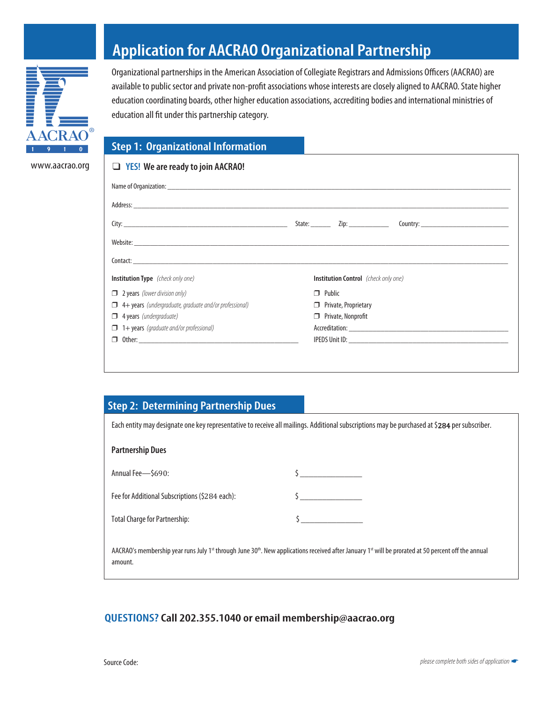

www.aacrao.org

# **Application for AACRAO Organizational Partnership**

Organizational partnerships in the American Association of Collegiate Registrars and Admissions Officers (AACRAO) are available to public sector and private non-profit associations whose interests are closely aligned to AACRAO. State higher education coordinating boards, other higher education associations, accrediting bodies and international ministries of education all fit under this partnership category.

#### **Step 1: Organizational Information**

| <b>Institution Type</b> (check only one)                      | <b>Institution Control</b> (check only one) |                           |                             |  |  |
|---------------------------------------------------------------|---------------------------------------------|---------------------------|-----------------------------|--|--|
|                                                               | $\Box$ Public                               |                           |                             |  |  |
| $\Box$ 2 years (lower division only)                          |                                             |                           | $\Box$ Private, Proprietary |  |  |
| $\Box$ 4+ years (undergraduate, graduate and/or professional) |                                             |                           |                             |  |  |
| $\Box$ 4 years (undergraduate)                                |                                             | $\Box$ Private, Nonprofit |                             |  |  |
| $\Box$ 1+ years (graduate and/or professional)                |                                             |                           |                             |  |  |

### **Step 2: Determining Partnership Dues**

| Each entity may designate one key representative to receive all mailings. Additional subscriptions may be purchased at \$284 per subscriber. |                                                                                                                                                                                          |  |  |  |
|----------------------------------------------------------------------------------------------------------------------------------------------|------------------------------------------------------------------------------------------------------------------------------------------------------------------------------------------|--|--|--|
| <b>Partnership Dues</b>                                                                                                                      |                                                                                                                                                                                          |  |  |  |
| Annual Fee-\$690:                                                                                                                            |                                                                                                                                                                                          |  |  |  |
| Fee for Additional Subscriptions (\$284 each):                                                                                               |                                                                                                                                                                                          |  |  |  |
| <b>Total Charge for Partnership:</b>                                                                                                         |                                                                                                                                                                                          |  |  |  |
| amount.                                                                                                                                      | AACRAO's membership year runs July 1 <sup>st</sup> through June 30 <sup>th</sup> . New applications received after January 1 <sup>st</sup> will be prorated at 50 percent off the annual |  |  |  |

### **QUESTIONS?Call 202.355.1040 or email membership@aacrao.org**